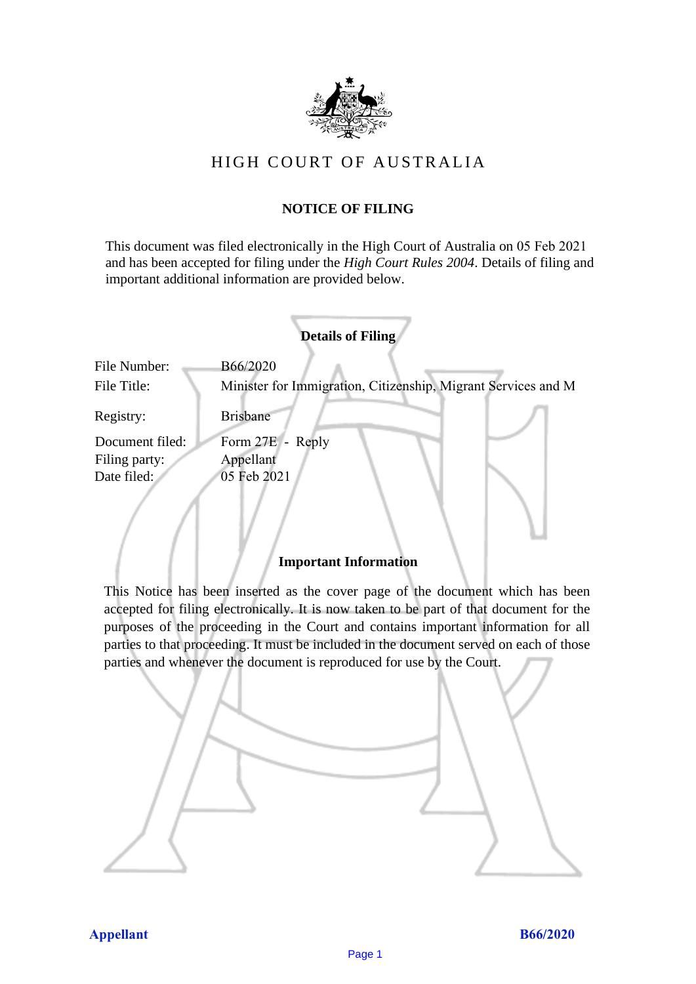

# HIGH COURT OF AU STRALIA HIGH COURT OF AUSTRALIA

# **NOTICE OF FILING** NOTICE OF FILING

This document was filed electronically in the High Court of Australia on 05 Feb 2021 and has been accepted for filing under the *High Court Rules 2004*. Details of filing and important additional information are provided below. important additional information are provided below.

|                                                 | <b>Details of Filing</b>                                                  |
|-------------------------------------------------|---------------------------------------------------------------------------|
| File Number:<br>File Title:                     | B66/2020<br>Minister for Immigration, Citizenship, Migrant Services and M |
| Registry:                                       | <b>Brisbane</b>                                                           |
| Document filed:<br>Filing party:<br>Date filed: | Form 27E - Reply<br>Appellant<br>05 Feb 2021                              |
|                                                 |                                                                           |

# **Important Information** Important Information

This Notice has been inserted as the cover page of the document which has been accepted for filing electronically. It is now taken to be part of that document for the purposes of the proceeding in the Court and contains important information for all parties to that proceeding. It must be included in the document served on each of those parties and whenever the document is reproduced for use by the Court. parties and whenever the document is reproduced for use by the Court

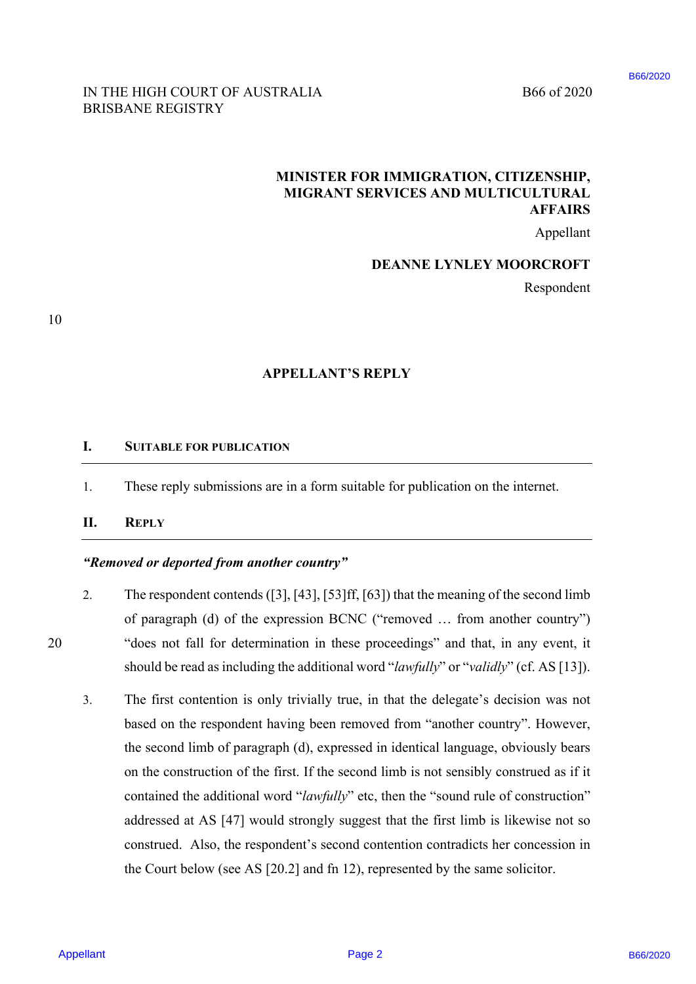### B66/2020

B66 of 2020

### IN THE HIGH COURT OF AUSTRALIA B66 of 2020 BRISBANE REGISTRY BRISBANE REGISTRY

## **MINISTER FOR IMMIGRATION, CITIZENSHIP,**  MINISTER FOR IMMIGRATION, CITIZENSHIP, **MIGRANT SERVICES AND MULTICULTURAL**  MIGRANT SERVICES AND MULTICULTURAL **AFFAIRS**  AFFAIRS

Appellant Appellant

### **DEANNE LYNLEY MOORCROFT**  DEANNE LYNLEY MOORCROFT

Respondent Respondent

10

## **APPELLANT'S REPLY**  APPELLANT'S REPLY

#### **I. SUITABLE FOR PUBLICATION** SUITABLE FOR PUBLICATION I.

1. These reply submissions are in a form suitable for publication on the internet. These reply submissions are in <sup>a</sup> form suitable for publication on the internet. APPELLANT<br>
1. SUITABLE FOR PUBLICATION<br>
1. These reply submissions are in a form s<br>
II. REPLY<br>
"Removed or deported from another country" 1.

#### **II. REPLY** REPLY I.

### *"Removed or deported from another country"*

- 2. The respondent contends ([3], [43], [53]ff, [63]) that the meaning of the second limb The respondent contends ([3], [43], [53] ff, [63]) that the meaning of the second limb of paragraph (d) of the expression BCNC ("removed … from another country") of paragraph (d) of the expression BCNC ("removed ... from another country'') 20 "does not fall for determination in these proceedings" and that, in any event, it "does not fall for determination in these proceedings" and that, in any event, it should be read as including the additional word "*lawfully*" or "*validly*" (cf. AS [13]). should be read as including the additional word "lawfully" or "validly" (cf. AS [13]). 2.
- 3. The first contention is only trivially true, in that the delegate's decision was not The first contention is only trivially true, in that the delegate's decision was not based on the respondent having been removed from "another country". However, based on the respondent having been removed from "another country". However, the second limb of paragraph (d), expressed in identical language, obviously bears the second limb of paragraph (d), expressed in identical language, obviously bears on the construction of the first. If the second limb is not sensibly construed as if it contained the additional word "*lawfully*" etc, then the "sound rule of construction" addressed at AS [47] would strongly suggest that the first limb is likewise not so addressed at AS [47] would strongly suggest that the first limb is likewise not so construed. Also, the respondent's second contention contradicts her concession in the Court below (see AS [20.2] and fn 12), represented by the same solicitor. the Court below (see AS [20.2] and fn 12), represented by the same solicitor. **INTIFATION INTERFERENCE INTERFERENCE INTO A USE THE USE CONTRIGUES INTO A USE THE USE CONTROL INTERFERENCE AND MULTICLY TRANSPORT CONTROL INTERFERENCE AND MULTICLY TRANSPORT (ESPECIENCE AND MULTICLY MOORCROFT)<br>
PEARLS AN** 3.

20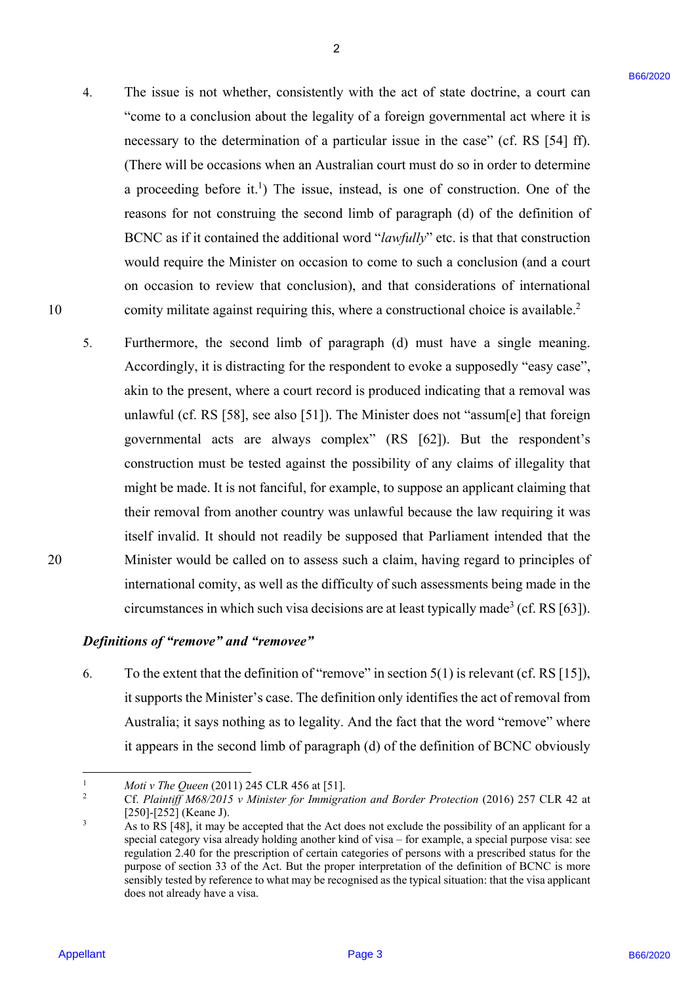4. The issue is not whether, consistently with the act of state doctrine, a court can The issue is not whether, consistently with the act of state doctrine, <sup>a</sup> court can "come to a conclusion about the legality of a foreign governmental act where it is "come to <sup>a</sup> conclusion about the legality of <sup>a</sup> foreign governmental act where it is necessary to the determination of a particular issue in the case" (cf. RS [54] ff). necessary to the determination of a particular issue in the case" (cf. RS [54] ff). (There will be occasions when an Australian court must do so in order to determine (There will be occasions when an Australian court must do so in order to determine a proceeding before it.<sup>1</sup>) The issue, instead, is one of construction. One of the reasons for not construing the second limb of paragraph (d) of the definition of BCNC as if it contained the additional word "*lawfully*" etc. is that that construction would require the Minister on occasion to come to such a conclusion (and a court would require the Minister on occasion to come to such a conclusion (and <sup>a</sup> court on occasion to review that conclusion), and that considerations of international on occasion to review that conclusion), and that considerations of international 10 comity militate against requiring this, where a constructional choice is available.<sup>2</sup>

2

5. Furthermore, the second limb of paragraph (d) must have a single meaning. Furthermore, the second limb of paragraph (d) must have a single meaning. Accordingly, it is distracting for the respondent to evoke a supposedly "easy case", Accordingly, it is distracting for the respondent to evoke <sup>a</sup> supposedly "easy case"', akin to the present, where a court record is produced indicating that a removal was akin to the present, where <sup>a</sup> court record is produced indicating that a removal was unlawful (cf. RS [58], see also [51]). The Minister does not "assum[e] that foreign unlawful (cf. RS [58], see also [51]). The Minister does not "assum[e] that foreign governmental acts are always complex" (RS [62]). But the respondent's governmental acts are always complex" (RS [62]). But the respondent's construction must be tested against the possibility of any claims of illegality that construction must be tested against the possibility of any claims of illegality that might be made. It is not fanciful, for example, to suppose an applicant claiming that might be made. It is not fanciful, for example, to suppose an applicant claiming that their removal from another country was unlawful because the law requiring it was their removal from another country was unlawful because the law requiring it was itself invalid. It should not readily be supposed that Parliament intended that the 20 Minister would be called on to assess such a claim, having regard to principles of Minister would be called on to assess such <sup>a</sup> claim, having regard to principles ofinternational comity, as well as the difficulty of such assessments being made in the international comity, as well as the difficulty of such assessments being made in the circumstances in which such visa decisions are at least typically made<sup>3</sup> (cf. RS [63]). 4. The test is tot odeleter, consistently with the act of the declining a court of  $\sim$  courts of  $\sim$  courts of  $\sim$  courts of  $\sim$  courts of  $\sim$  courts of  $\sim$  courts of  $\sim$  courts of  $\sim$  courts of  $\sim$  consistents o

### Definitions of "remove" and "removee"

6. To the extent that the definition of "remove" in section  $5(1)$  is relevant (cf. RS [15]), it supports the Minister's case. The definition only identifies the act of removal from it supports the Minister's case. The definition only identifies the act of removal from Australia; it says nothing as to legality. And the fact that the word "remove" where Australia; it says nothing as to legality. And the fact that the word "remove" where it appears in the second limb of paragraph (d) of the definition of BCNC obviously it appears in the second limb of paragraph (d) of the definition of BCNC obviously

1

10

20

<sup>1</sup> *Moti v The Queen* (2011) 245 CLR 456 at [51].<br><sup>2</sup> Cf. Plaintiff M68/2015 v Minister for Immigra

Cf. Plaintiff M68/2015 v Minister for Immigration and Border Protection (2016) 257 CLR 42 at  $[250]$ - $[252]$  (Keane J).<br>  $\frac{3}{2}$  As to RS [48] it may b

As to RS [48], it may be accepted that the Act does not exclude the possibility of an applicant for a As to RS [48], it may be accepted that the Act does not exclude the possibility of an applicant for aspecial category visa already holding another kind of visa – for example, a special purpose visa: see special category visa already holding another kind ofvisa — for example, <sup>a</sup> special purpose visa: see regulation 2.40 for the prescription of certain categories of persons with a prescribed status for the purpose of section 33 of the Act. But the proper interpretation of the definition of BCNC is more purpose of section 33 of the Act. But the proper interpretation of the definition of BCNC is more sensibly tested by reference to what may be recognised as the typical situation: that the visa applicant sensibly tested by reference to what may be recognised as the typical situation: that the visa applicant does not already have a visa. does not already have a visa.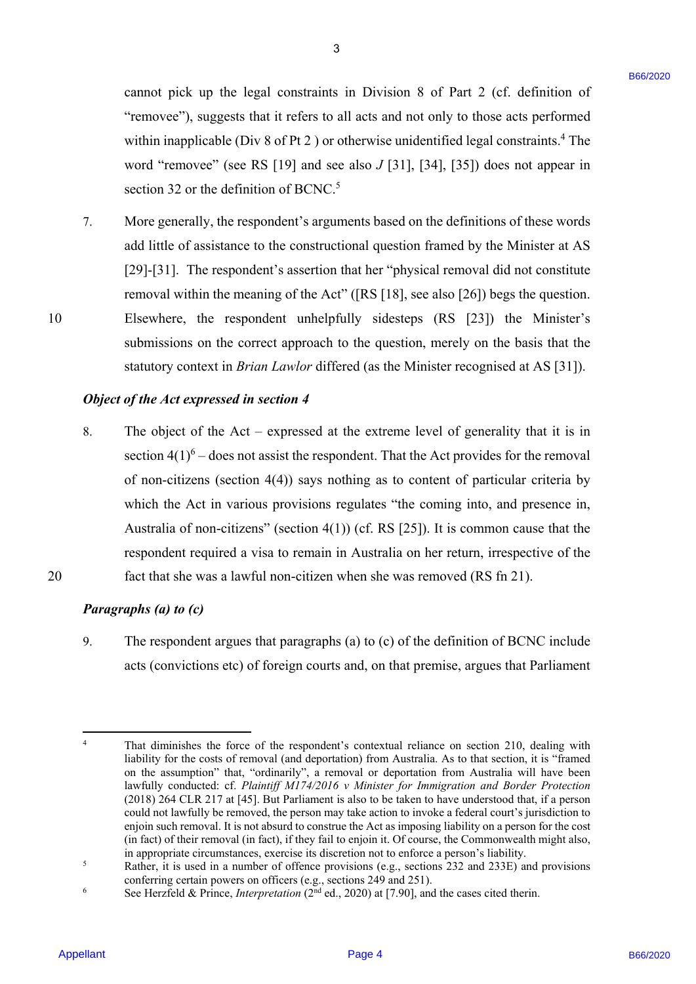cannot pick up the legal constraints in Division 8 of Part 2 (cf. definition of cannot pick up the legal constraints in Division <sup>8</sup> of Part 2 (cf. definition of"removee"), suggests that it refers to all acts and not only to those acts performed within inapplicable (Div 8 of Pt 2) or otherwise unidentified legal constraints.<sup>4</sup> The word "removee" (see RS [19] and see also *J* [31], [34], [35]) does not appear in word "removee" (see RS [19] and see also J [31], [34], [35]) does not appear in section 32 or the definition of BCNC.<sup>5</sup>

7. More generally, the respondent's arguments based on the definitions of these words More generally, the respondent's arguments based on the definitions of these words add little of assistance to the constructional question framed by the Minister at AS add little of assistance to the constructional question framed by the Minister at AS [29]-[31]. The respondent's assertion that her "physical removal did not constitute removal within the meaning of the Act" ([RS [18], see also [26]) begs the question. removal within the meaning of the Act" ([RS [18], see also [26]) begs the question. 10 Elsewhere, the respondent unhelpfully sidesteps (RS [23]) the Minister's Elsewhere, the respondent unhelpfully sidesteps (RS [23]) the Minister's submissions on the correct approach to the question, merely on the basis that the statutory context in *Brian Lawlor* differed (as the Minister recognised at AS [31]). statutory context in Brian Lawlor differed (as the Minister recognised at AS [31]). careas piek up the lagal conventions in Division 8 of Part 2 (cf. definition of<br>
"meanings"), anglesh that it carcital and case and are dualy to discussed purchased<br>
with incredibute (b) is  $\kappa$  if  $\kappa$  is a proportiona

# **Object of the Act expressed in section 4**

- 8. The object of the Act expressed at the extreme level of generality that it is in The object of the Act expressed at the extreme level of generality that it is in section  $4(1)^6$  – does not assist the respondent. That the Act provides for the removal of non-citizens (section 4(4)) says nothing as to content of particular criteria by of non-citizens (section 4(4)) says nothing as to content of particular criteria by which the Act in various provisions regulates "the coming into, and presence in, which the Act in various provisions regulates "the coming into, and presence in, Australia of non-citizens" (section  $4(1)$ ) (cf. RS [25]). It is common cause that the respondent required a visa to remain in Australia on her return, irrespective of the respondent required <sup>a</sup> visa to remain in Australia on her return, irrespective of the 20 fact that she was a lawful non-citizen when she was removed (RS fn 21). fact that she was a lawful non-citizen when she was removed (RS fn 21). 8.
- 20

10

### Paragraphs (a) to (c)

9. The respondent argues that paragraphs (a) to (c) of the definition of BCNC include 9. The respondent argues that paragraphs (a) to (c) of the definition of BCNC include acts (convictions etc) of foreign courts and, on that premise, argues that Parliament acts (convictions etc) of foreign courts and, on that premise, argues that Parliament

<sup>1</sup> 4 That diminishes the force of the respondent's contextual reliance on section 210, dealing with That diminishes the force of the respondent's contextual reliance on section 210, dealing with liability for the costs of removal (and deportation) from Australia. As to that section, it is "framed liability for the costs of removal (and deportation) from Australia. As to that section, it is "framed on the assumption" that, "ordinarily", a removal or deportation from Australia will have been lawfully conducted: cf. *Plaintiff M174/2016 v Minister for Immigration and Border Protection*  lawfully conducted: cf. Plaintiff M174/2016 v Minister for Immigration and Border Protection (2018) 264 CLR 217 at [45]. But Parliament is also to be taken to have understood that, if a person (2018) <sup>264</sup> CLR <sup>217</sup> at [45]. But Parliament is also to be taken to have understood that, if <sup>a</sup> person could not lawfully be removed, the person may take action to invoke a federal court's jurisdiction to could not lawfully be removed, the person may take action to invoke a federal court's jurisdiction to enjoin such removal. It is not absurd to construe the Act as imposing liability on a person for the cost enjoin such removal. It is not absurd to construe the Act as imposing liability on a person for the cost (in fact) of their removal (in fact), if they fail to enjoin it. Of course, the Commonwealth might also, (in fact) of their removal (in fact), if they fail to enjoin it. Of course, the Commonwealth might also, in appropriate circumstances, exercise its discretion not to enforce a person's liability.<br> **Example 18** appropriate it is used in a number of offence provisions (e.g., sections 232 and 233F) at

Rather, it is used in a number of offence provisions (e.g., sections 232 and 233E) and provisions Rather, it is used in a number of offence provisions (e.g., sections 232 and 233E) and provisions conferring certain powers on officers (e.g., sections 249 and 251).<br>
See Herzfeld & Prince Interpretation (2<sup>nd</sup> ed. 2020) at [7,901, and

See Herzfeld & Prince, *Interpretation* (2<sup>nd</sup> ed., 2020) at [7.90], and the cases cited therin.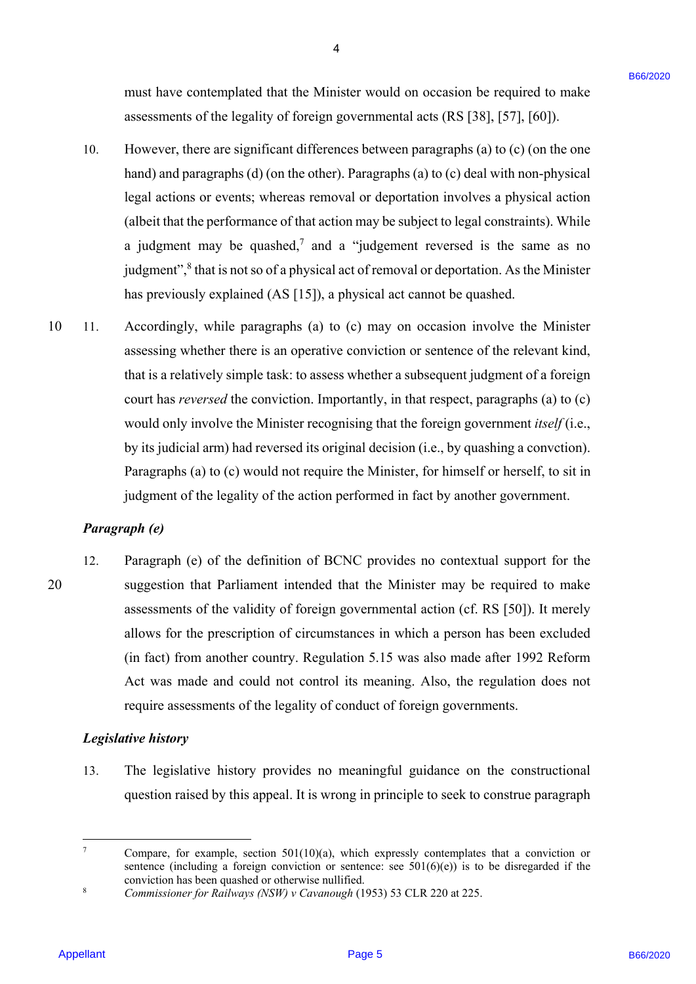must have contemplated that the Minister would on occasion be required to make must have contemplated that the Minister would on occasion be required to make assessments of the legality of foreign governmental acts (RS [38], [57], [60]). assessments of the legality of foreign governmental acts (RS [38], [57], [60]).

4

- However, there are significant differences between paragraphs (a) to  $(c)$  (on the one However, there are significant differences between paragraphs (a) to (c) (on the one hand) and paragraphs (d) (on the other). Paragraphs (a) to (c) deal with non-physical legal actions or events; whereas removal or deportation involves a physical action (albeit that the performance of that action may be subject to legal constraints). While (albeit that the performance of that action may be subject to legal constraints). While a judgment may be quashed,<sup>7</sup> and a "judgement reversed is the same as no judgment",<sup>8</sup> that is not so of a physical act of removal or deportation. As the Minister has previously explained (AS [15]), a physical act cannot be quashed. has previously explained (AS [15]), a physical act cannot be quashed. 10.
- 10 11. Accordingly, while paragraphs (a) to (c) may on occasion involve the Minister Accordingly, while paragraphs (a) to (c) may on occasion involve the Minister assessing whether there is an operative conviction or sentence of the relevant kind, assessing whether there is an operative conviction or sentence of the relevant kind, that is a relatively simple task: to assess whether a subsequent judgment of a foreign that is <sup>a</sup> relatively simple task: to assess whether a subsequent judgment of a foreign court has *reversed* the conviction. Importantly, in that respect, paragraphs (a) to (c) would only involve the Minister recognising that the foreign government *itself* (i.e., by its judicial arm) had reversed its original decision (i.e., by quashing a convction). by its judicial arm) had reversed its original decision (i.e., by quashing <sup>a</sup> convction). Paragraphs (a) to (c) would not require the Minister, for himself or herself, to sit in Paragraphs (a) to (c) would not require the Minister, for himself or herself, to sit in judgment of the legality of the action performed in fact by another government. judgment of the legality of the action performed in fact by another government. must have contemptated four the Minister would on accession be required to make<br>a so-control of the logality of forcing governmental acts (88 [38], [39], [60]).<br>
However, these use significant differences between the page 10 11.

### *Paragraph (e)*  Paragraph (e)

12. Paragraph (e) of the definition of BCNC provides no contextual support for the Paragraph (e) of the definition of BCNC provides no contextual support for the 20 suggestion that Parliament intended that the Minister may be required to make suggestion that Parliament intended that the Minister may be required to make assessments of the validity of foreign governmental action (cf. RS [50]). It merely assessments of the validity of foreign governmental action (cf. RS [50]). It merelyallows for the prescription of circumstances in which a person has been excluded allows for the prescription of circumstances in which a person has been excluded (in fact) from another country. Regulation 5.15 was also made after 1992 Reform (in fact) from another country. Regulation 5.15 was also made after 1992 Reform Act was made and could not control its meaning. Also, the regulation does not Act was made and could not control its meaning. Also, the regulation does not require assessments of the legality of conduct of foreign governments. require assessments of the legality of conduct of foreign governments. 12. 20

### *Legislative history*  Legislative history

13. The legislative history provides no meaningful guidance on the constructional 13. The legislative history provides no meaningful guidance on the constructional question raised by this appeal. It is wrong in principle to seek to construe paragraph question raised by this appeal. It is wrong in principle to seek to construe paragraph

<sup>-&</sup>lt;br>7 Compare, for example, section  $501(10)(a)$ , which expressly contemplates that a conviction or sentence (including a foreign conviction or sentence: see  $501(6)(e)$ ) is to be disregarded if the conviction has been quashed or otherwise nullified.<br><sup>8</sup> Commissioner for Raibyays (NSW) y Cayanough (1)

Commissioner for Railways (NSW) v Cavanough (1953) 53 CLR 220 at 225.